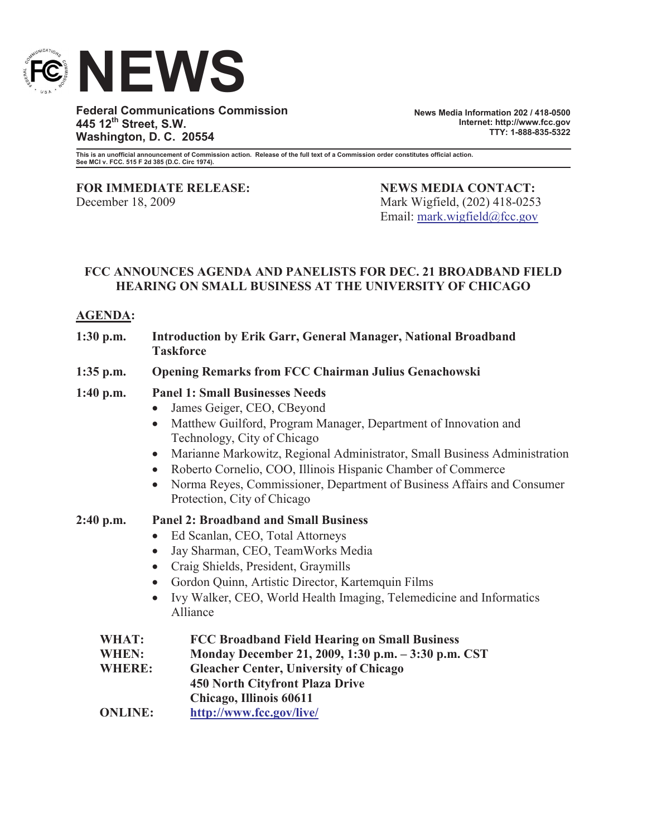

**Federal Communications Commission 445 12th Street, S.W. Washington, D. C. 20554**

**News Media Information 202 / 418-0500 Internet: http://www.fcc.gov TTY: 1-888-835-5322**

**This is an unofficial announcement of Commission action. Release of the full text of a Commission order constitutes official action. See MCI v. FCC. 515 F 2d 385 (D.C. Circ 1974).**

**FOR IMMEDIATE RELEASE: NEWS MEDIA CONTACT:** December 18, 2009 Mark Wigfield, (202) 418-0253

Email: mark.wigfield@fcc.gov

## **FCC ANNOUNCES AGENDA AND PANELISTS FOR DEC. 21 BROADBAND FIELD HEARING ON SMALL BUSINESS AT THE UNIVERSITY OF CHICAGO**

## **AGENDA:**

| $1:30$ p.m.                                   | <b>Introduction by Erik Garr, General Manager, National Broadband</b><br><b>Taskforce</b>                                                                                                                                                                                                                                                                                                                                                                                                     |
|-----------------------------------------------|-----------------------------------------------------------------------------------------------------------------------------------------------------------------------------------------------------------------------------------------------------------------------------------------------------------------------------------------------------------------------------------------------------------------------------------------------------------------------------------------------|
| $1:35$ p.m.                                   | <b>Opening Remarks from FCC Chairman Julius Genachowski</b>                                                                                                                                                                                                                                                                                                                                                                                                                                   |
| $1:40$ p.m.                                   | <b>Panel 1: Small Businesses Needs</b><br>James Geiger, CEO, CBeyond<br>$\bullet$<br>Matthew Guilford, Program Manager, Department of Innovation and<br>$\bullet$<br>Technology, City of Chicago<br>Marianne Markowitz, Regional Administrator, Small Business Administration<br>$\bullet$<br>Roberto Cornelio, COO, Illinois Hispanic Chamber of Commerce<br>$\bullet$<br>Norma Reyes, Commissioner, Department of Business Affairs and Consumer<br>$\bullet$<br>Protection, City of Chicago |
| $2:40$ p.m.                                   | <b>Panel 2: Broadband and Small Business</b><br>Ed Scanlan, CEO, Total Attorneys<br>$\bullet$<br>Jay Sharman, CEO, TeamWorks Media<br>$\bullet$<br>Craig Shields, President, Graymills<br>$\bullet$<br>Gordon Quinn, Artistic Director, Kartemquin Films<br>$\bullet$<br>Ivy Walker, CEO, World Health Imaging, Telemedicine and Informatics<br>$\bullet$<br>Alliance                                                                                                                         |
| <b>WHAT:</b><br><b>WHEN:</b><br><b>WHERE:</b> | <b>FCC Broadband Field Hearing on Small Business</b><br>Monday December 21, 2009, 1:30 p.m. - 3:30 p.m. CST<br><b>Gleacher Center, University of Chicago</b><br><b>450 North Cityfront Plaza Drive</b>                                                                                                                                                                                                                                                                                        |
| <b>ONLINE:</b>                                | Chicago, Illinois 60611<br>http://www.fcc.gov/live/                                                                                                                                                                                                                                                                                                                                                                                                                                           |